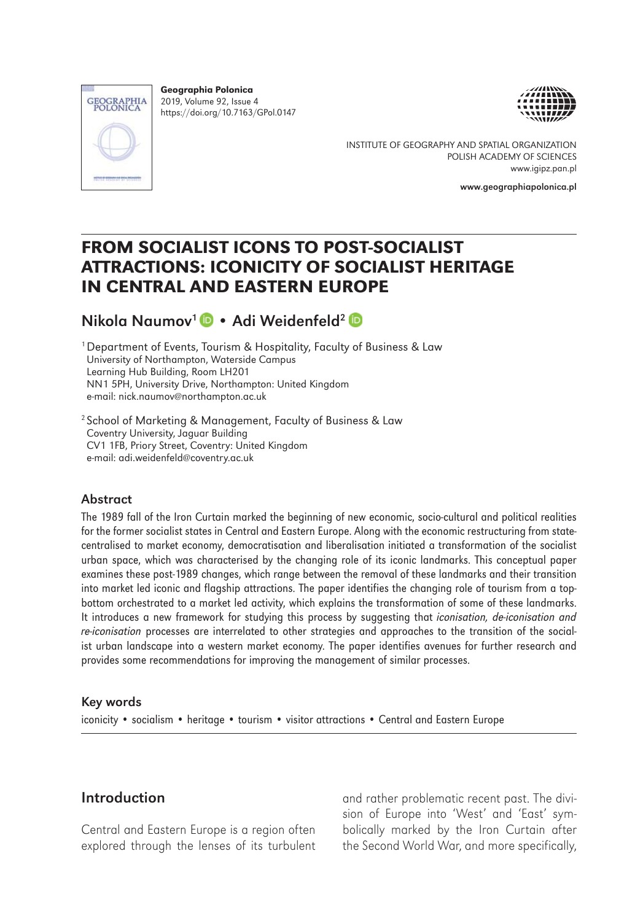

Geographia Polonica 2019, Volume 92, Issue 4 https://doi.org/10.7163/GPol.0147





INSTITUTE OF GEOGRAPHY AND SPATIAL ORGANIZATION POLISH ACADEMY OF SCIENCES www.igipz.pan.pl

www.geographiapolonica.pl

# FROM SOCIALIST ICONS TO POST-SOCIALIST ATTRACTIONS: ICONICITY OF SOCIALIST HERITAGE IN CENTRAL AND EASTERN EUROPE

# NikolaNaumov<sup>1</sup> • Adi Weidenfeld<sup>2</sup>

<sup>1</sup> Department of Events, Tourism & Hospitality, Faculty of Business & Law University of Northampton, Waterside Campus Learning Hub Building, Room LH201 NN1 5PH, University Drive, Northampton: United Kingdom e-mail: nick.naumov@northampton.ac.uk

2 School of Marketing & Management, Faculty of Business & Law Coventry University, Jaguar Building CV1 1FB, Priory Street, Coventry: United Kingdom e-mail: adi.weidenfeld@coventry.ac.uk

#### Abstract

The 1989 fall of the Iron Curtain marked the beginning of new economic, socio-cultural and political realities for the former socialist states in Central and Eastern Europe. Along with the economic restructuring from statecentralised to market economy, democratisation and liberalisation initiated a transformation of the socialist urban space, which was characterised by the changing role of its iconic landmarks. This conceptual paper examines these post-1989 changes, which range between the removal of these landmarks and their transition into market led iconic and flagship attractions. The paper identifies the changing role of tourism from a topbottom orchestrated to a market led activity, which explains the transformation of some of these landmarks. It introduces a new framework for studying this process by suggesting that *iconisation, de-iconisation and re-iconisation* processes are interrelated to other strategies and approaches to the transition of the socialist urban landscape into a western market economy. The paper identifies avenues for further research and provides some recommendations for improving the management of similar processes.

#### Key words

iconicity • socialism • heritage • tourism • visitor attractions • Central and Eastern Europe

#### Introduction

Central and Eastern Europe is a region often explored through the lenses of its turbulent and rather problematic recent past. The division of Europe into 'West' and 'East' symbolically marked by the Iron Curtain after the Second World War, and more specifically,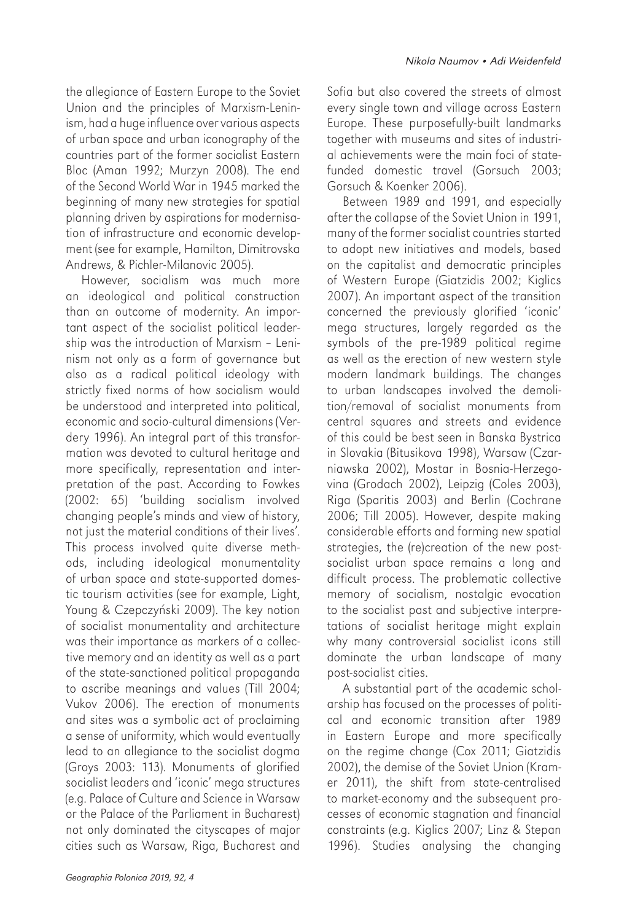the allegiance of Eastern Europe to the Soviet Union and the principles of Marxism-Leninism, had a huge influence over various aspects of urban space and urban iconography of the countries part of the former socialist Eastern Bloc (Aman 1992; Murzyn 2008). The end of the Second World War in 1945 marked the beginning of many new strategies for spatial planning driven by aspirations for modernisation of infrastructure and economic development (see for example, Hamilton, Dimitrovska Andrews, & Pichler-Milanovic 2005).

However, socialism was much more an ideological and political construction than an outcome of modernity. An important aspect of the socialist political leadership was the introduction of Marxism – Leninism not only as a form of governance but also as a radical political ideology with strictly fixed norms of how socialism would be understood and interpreted into political, economic and socio-cultural dimensions (Verdery 1996). An integral part of this transformation was devoted to cultural heritage and more specifically, representation and interpretation of the past. According to Fowkes (2002: 65) 'building socialism involved changing people's minds and view of history, not just the material conditions of their lives'. This process involved quite diverse methods, including ideological monumentality of urban space and state-supported domestic tourism activities (see for example, Light, Young & Czepczyński 2009). The key notion of socialist monumentality and architecture was their importance as markers of a collective memory and an identity as well as a part of the state-sanctioned political propaganda to ascribe meanings and values (Till 2004; Vukov 2006). The erection of monuments and sites was a symbolic act of proclaiming a sense of uniformity, which would eventually lead to an allegiance to the socialist dogma (Groys 2003: 113). Monuments of glorified socialist leaders and 'iconic' mega structures (e.g. Palace of Culture and Science in Warsaw or the Palace of the Parliament in Bucharest) not only dominated the cityscapes of major cities such as Warsaw, Riga, Bucharest and

Sofia but also covered the streets of almost every single town and village across Eastern Europe. These purposefully-built landmarks together with museums and sites of industrial achievements were the main foci of statefunded domestic travel (Gorsuch 2003; Gorsuch & Koenker 2006).

Between 1989 and 1991, and especially after the collapse of the Soviet Union in 1991, many of the former socialist countries started to adopt new initiatives and models, based on the capitalist and democratic principles of Western Europe (Giatzidis 2002; Kiglics 2007). An important aspect of the transition concerned the previously glorified 'iconic' mega structures, largely regarded as the symbols of the pre-1989 political regime as well as the erection of new western style modern landmark buildings. The changes to urban landscapes involved the demolition/removal of socialist monuments from central squares and streets and evidence of this could be best seen in Banska Bystrica in Slovakia (Bitusikova 1998), Warsaw (Czarniawska 2002), Mostar in Bosnia-Herzegovina (Grodach 2002), Leipzig (Coles 2003), Riga (Sparitis 2003) and Berlin (Cochrane 2006; Till 2005). However, despite making considerable efforts and forming new spatial strategies, the (re)creation of the new postsocialist urban space remains a long and difficult process. The problematic collective memory of socialism, nostalgic evocation to the socialist past and subjective interpretations of socialist heritage might explain why many controversial socialist icons still dominate the urban landscape of many post-socialist cities.

A substantial part of the academic scholarship has focused on the processes of political and economic transition after 1989 in Eastern Europe and more specifically on the regime change (Cox 2011; Giatzidis 2002), the demise of the Soviet Union (Kramer 2011), the shift from state-centralised to market-economy and the subsequent processes of economic stagnation and financial constraints (e.g. Kiglics 2007; Linz & Stepan 1996). Studies analysing the changing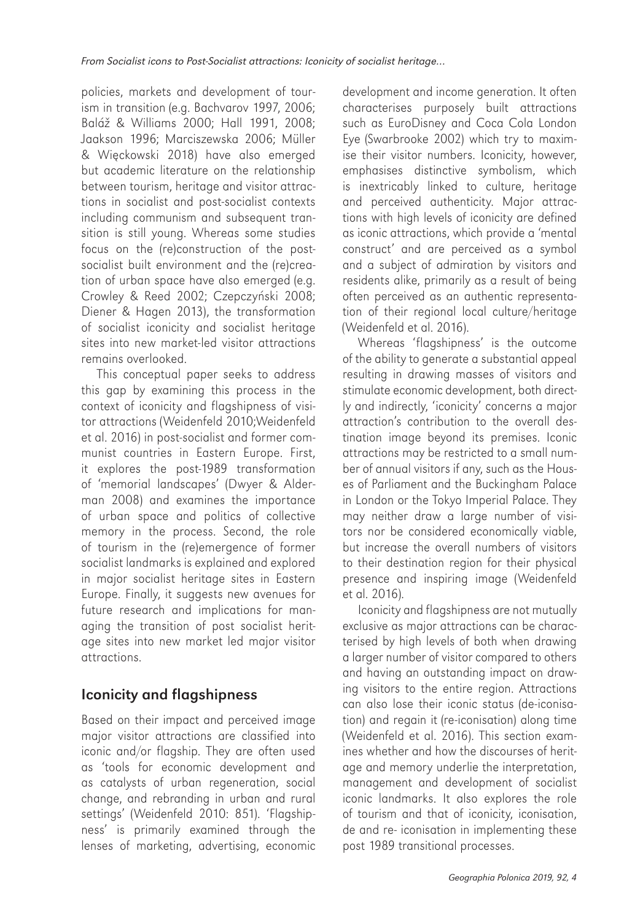policies, markets and development of tourism in transition (e.g. Bachvarov 1997, 2006; Baláž & Williams 2000; Hall 1991, 2008; Jaakson 1996; Marciszewska 2006; Müller & Więckowski 2018) have also emerged but academic literature on the relationship between tourism, heritage and visitor attractions in socialist and post-socialist contexts including communism and subsequent transition is still young. Whereas some studies focus on the (re)construction of the postsocialist built environment and the (re)creation of urban space have also emerged (e.g. Crowley & Reed 2002; Czepczyński 2008; Diener & Hagen 2013), the transformation of socialist iconicity and socialist heritage sites into new market-led visitor attractions remains overlooked.

This conceptual paper seeks to address this gap by examining this process in the context of iconicity and flagshipness of visitor attractions (Weidenfeld 2010;Weidenfeld et al. 2016) in post-socialist and former communist countries in Eastern Europe. First, it explores the post-1989 transformation of 'memorial landscapes' (Dwyer & Alderman 2008) and examines the importance of urban space and politics of collective memory in the process. Second, the role of tourism in the (re)emergence of former socialist landmarks is explained and explored in major socialist heritage sites in Eastern Europe. Finally, it suggests new avenues for future research and implications for managing the transition of post socialist heritage sites into new market led major visitor attractions.

# Iconicity and flagshipness

Based on their impact and perceived image major visitor attractions are classified into iconic and/or flagship. They are often used as 'tools for economic development and as catalysts of urban regeneration, social change, and rebranding in urban and rural settings' (Weidenfeld 2010: 851). 'Flagshipness' is primarily examined through the lenses of marketing, advertising, economic

development and income generation. It often characterises purposely built attractions such as EuroDisney and Coca Cola London Eye (Swarbrooke 2002) which try to maximise their visitor numbers. Iconicity, however, emphasises distinctive symbolism, which is inextricably linked to culture, heritage and perceived authenticity. Major attractions with high levels of iconicity are defined as iconic attractions, which provide a 'mental construct' and are perceived as a symbol and a subject of admiration by visitors and residents alike, primarily as a result of being often perceived as an authentic representation of their regional local culture/heritage (Weidenfeld et al. 2016).

Whereas 'flagshipness' is the outcome of the ability to generate a substantial appeal resulting in drawing masses of visitors and stimulate economic development, both directly and indirectly, 'iconicity' concerns a major attraction's contribution to the overall destination image beyond its premises. Iconic attractions may be restricted to a small number of annual visitors if any, such as the Houses of Parliament and the Buckingham Palace in London or the Tokyo Imperial Palace. They may neither draw a large number of visitors nor be considered economically viable, but increase the overall numbers of visitors to their destination region for their physical presence and inspiring image (Weidenfeld et al. 2016).

Iconicity and flagshipness are not mutually exclusive as major attractions can be characterised by high levels of both when drawing a larger number of visitor compared to others and having an outstanding impact on drawing visitors to the entire region. Attractions can also lose their iconic status (de-iconisation) and regain it (re-iconisation) along time (Weidenfeld et al. 2016). This section examines whether and how the discourses of heritage and memory underlie the interpretation, management and development of socialist iconic landmarks. It also explores the role of tourism and that of iconicity, iconisation, de and re- iconisation in implementing these post 1989 transitional processes.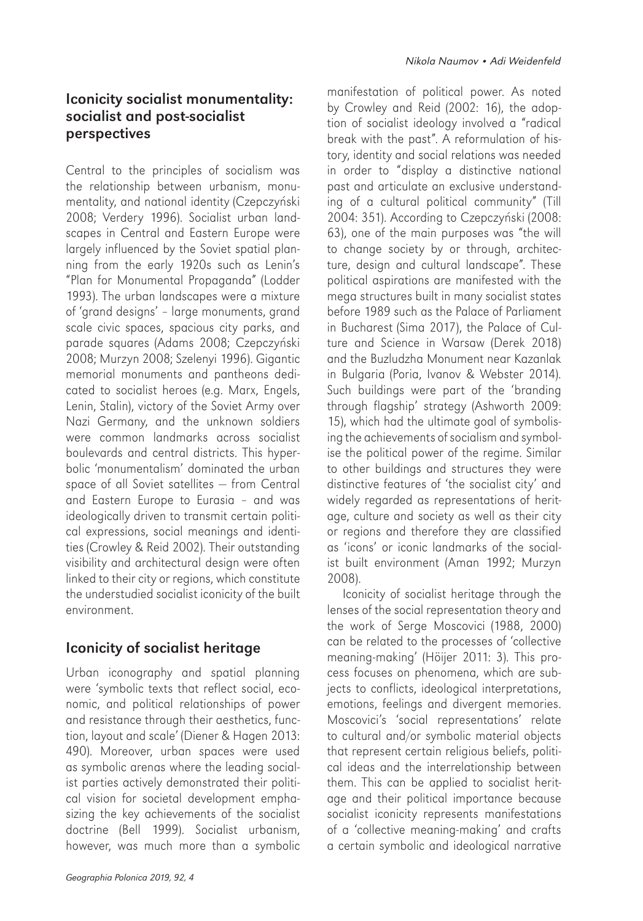### Iconicity socialist monumentality: socialist and post-socialist perspectives

Central to the principles of socialism was the relationship between urbanism, monumentality, and national identity (Czepczyński 2008; Verdery 1996). Socialist urban landscapes in Central and Eastern Europe were largely influenced by the Soviet spatial planning from the early 1920s such as Lenin's "Plan for Monumental Propaganda" (Lodder 1993). The urban landscapes were a mixture of 'grand designs' – large monuments, grand scale civic spaces, spacious city parks, and parade squares (Adams 2008; Czepczyński 2008; Murzyn 2008; Szelenyi 1996). Gigantic memorial monuments and pantheons dedicated to socialist heroes (e.g. Marx, Engels, Lenin, Stalin), victory of the Soviet Army over Nazi Germany, and the unknown soldiers were common landmarks across socialist boulevards and central districts. This hyperbolic 'monumentalism' dominated the urban space of all Soviet satellites — from Central and Eastern Europe to Eurasia – and was ideologically driven to transmit certain political expressions, social meanings and identities (Crowley & Reid 2002). Their outstanding visibility and architectural design were often linked to their city or regions, which constitute the understudied socialist iconicity of the built environment.

# Iconicity of socialist heritage

Urban iconography and spatial planning were 'symbolic texts that reflect social, economic, and political relationships of power and resistance through their aesthetics, function, layout and scale' (Diener & Hagen 2013: 490). Moreover, urban spaces were used as symbolic arenas where the leading socialist parties actively demonstrated their political vision for societal development emphasizing the key achievements of the socialist doctrine (Bell 1999). Socialist urbanism, however, was much more than a symbolic manifestation of political power. As noted by Crowley and Reid (2002: 16), the adoption of socialist ideology involved a "radical break with the past". A reformulation of history, identity and social relations was needed in order to "display a distinctive national past and articulate an exclusive understanding of a cultural political community" (Till 2004: 351). According to Czepczyński (2008: 63), one of the main purposes was "the will to change society by or through, architecture, design and cultural landscape". These political aspirations are manifested with the mega structures built in many socialist states before 1989 such as the Palace of Parliament in Bucharest (Sima 2017), the Palace of Culture and Science in Warsaw (Derek 2018) and the Buzludzha Monument near Kazanlak in Bulgaria (Poria, Ivanov & Webster 2014). Such buildings were part of the 'branding through flagship' strategy (Ashworth 2009: 15), which had the ultimate goal of symbolising the achievements of socialism and symbolise the political power of the regime. Similar to other buildings and structures they were distinctive features of 'the socialist city' and widely regarded as representations of heritage, culture and society as well as their city or regions and therefore they are classified as 'icons' or iconic landmarks of the socialist built environment (Aman 1992; Murzyn 2008).

Iconicity of socialist heritage through the lenses of the social representation theory and the work of Serge Moscovici (1988, 2000) can be related to the processes of 'collective meaning-making' (Höijer 2011: 3). This process focuses on phenomena, which are subjects to conflicts, ideological interpretations, emotions, feelings and divergent memories. Moscovici's 'social representations' relate to cultural and/or symbolic material objects that represent certain religious beliefs, political ideas and the interrelationship between them. This can be applied to socialist heritage and their political importance because socialist iconicity represents manifestations of a 'collective meaning-making' and crafts a certain symbolic and ideological narrative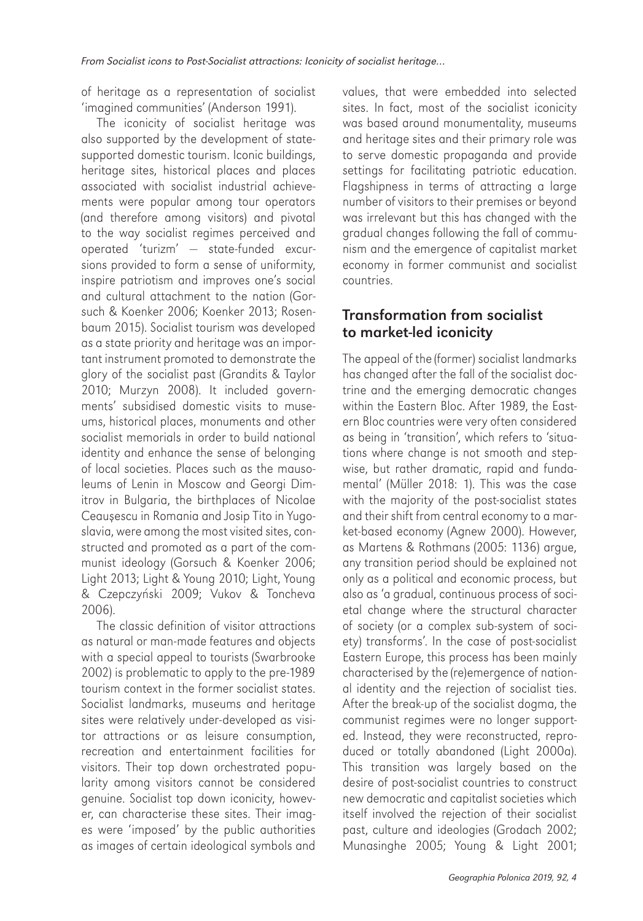of heritage as a representation of socialist 'imagined communities' (Anderson 1991).

The iconicity of socialist heritage was also supported by the development of statesupported domestic tourism. Iconic buildings, heritage sites, historical places and places associated with socialist industrial achievements were popular among tour operators (and therefore among visitors) and pivotal to the way socialist regimes perceived and operated 'turizm' — state-funded excursions provided to form a sense of uniformity, inspire patriotism and improves one's social and cultural attachment to the nation (Gorsuch & Koenker 2006; Koenker 2013; Rosenbaum 2015). Socialist tourism was developed as a state priority and heritage was an important instrument promoted to demonstrate the glory of the socialist past (Grandits & Taylor 2010; Murzyn 2008). It included governments' subsidised domestic visits to museums, historical places, monuments and other socialist memorials in order to build national identity and enhance the sense of belonging of local societies. Places such as the mausoleums of Lenin in Moscow and Georgi Dimitrov in Bulgaria, the birthplaces of Nicolae Ceauşescu in Romania and Josip Tito in Yugoslavia, were among the most visited sites, constructed and promoted as a part of the communist ideology (Gorsuch & Koenker 2006; Light 2013; Light & Young 2010; Light, Young & Czepczyński 2009; Vukov & Toncheva 2006).

The classic definition of visitor attractions as natural or man-made features and objects with a special appeal to tourists (Swarbrooke 2002) is problematic to apply to the pre-1989 tourism context in the former socialist states. Socialist landmarks, museums and heritage sites were relatively under-developed as visitor attractions or as leisure consumption, recreation and entertainment facilities for visitors. Their top down orchestrated popularity among visitors cannot be considered genuine. Socialist top down iconicity, however, can characterise these sites. Their images were 'imposed' by the public authorities as images of certain ideological symbols and values, that were embedded into selected sites. In fact, most of the socialist iconicity was based around monumentality, museums and heritage sites and their primary role was to serve domestic propaganda and provide settings for facilitating patriotic education. Flagshipness in terms of attracting a large number of visitors to their premises or beyond was irrelevant but this has changed with the gradual changes following the fall of communism and the emergence of capitalist market economy in former communist and socialist countries.

# Transformation from socialist to market-led iconicity

The appeal of the (former) socialist landmarks has changed after the fall of the socialist doctrine and the emerging democratic changes within the Eastern Bloc. After 1989, the Eastern Bloc countries were very often considered as being in 'transition', which refers to 'situations where change is not smooth and stepwise, but rather dramatic, rapid and fundamental' (Müller 2018: 1). This was the case with the majority of the post-socialist states and their shift from central economy to a market-based economy (Agnew 2000). However, as Martens & Rothmans (2005: 1136) argue, any transition period should be explained not only as a political and economic process, but also as 'a gradual, continuous process of societal change where the structural character of society (or a complex sub-system of society) transforms'. In the case of post-socialist Eastern Europe, this process has been mainly characterised by the (re)emergence of national identity and the rejection of socialist ties. After the break-up of the socialist dogma, the communist regimes were no longer supported. Instead, they were reconstructed, reproduced or totally abandoned (Light 2000a). This transition was largely based on the desire of post-socialist countries to construct new democratic and capitalist societies which itself involved the rejection of their socialist past, culture and ideologies (Grodach 2002; Munasinghe 2005; Young & Light 2001;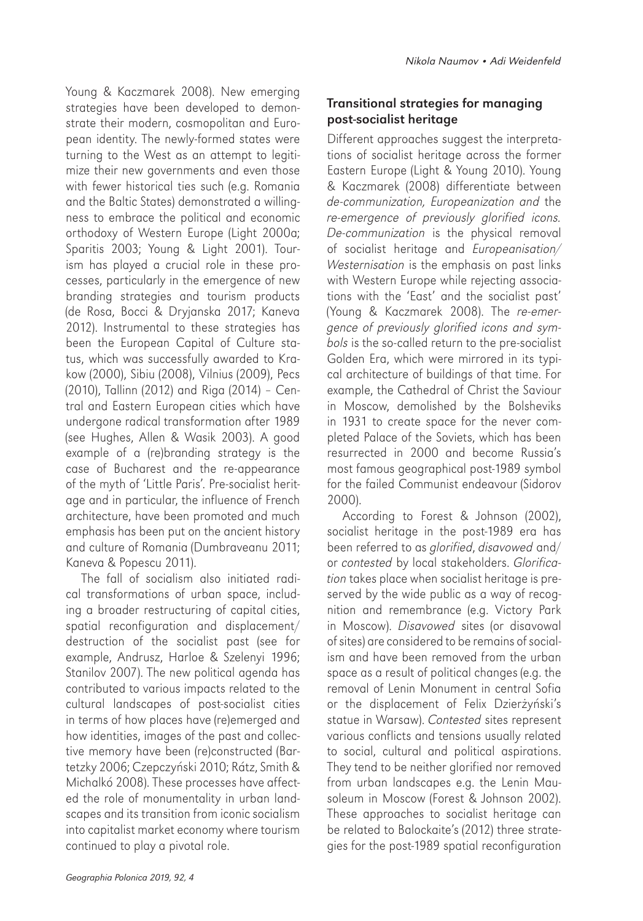Young & Kaczmarek 2008). New emerging strategies have been developed to demonstrate their modern, cosmopolitan and European identity. The newly-formed states were turning to the West as an attempt to legitimize their new governments and even those with fewer historical ties such (e.g. Romania and the Baltic States) demonstrated a willingness to embrace the political and economic orthodoxy of Western Europe (Light 2000a; Sparitis 2003; Young & Light 2001). Tourism has played a crucial role in these processes, particularly in the emergence of new branding strategies and tourism products (de Rosa, Bocci & Dryjanska 2017; Kaneva 2012). Instrumental to these strategies has been the European Capital of Culture status, which was successfully awarded to Krakow (2000), Sibiu (2008), Vilnius (2009), Pecs (2010), Tallinn (2012) and Riga (2014) – Central and Eastern European cities which have undergone radical transformation after 1989 (see Hughes, Allen & Wasik 2003). A good example of a (re)branding strategy is the case of Bucharest and the re-appearance of the myth of 'Little Paris'. Pre-socialist heritage and in particular, the influence of French architecture, have been promoted and much emphasis has been put on the ancient history and culture of Romania (Dumbraveanu 2011; Kaneva & Popescu 2011).

The fall of socialism also initiated radical transformations of urban space, including a broader restructuring of capital cities, spatial reconfiguration and displacement/ destruction of the socialist past (see for example, Andrusz, Harloe & Szelenyi 1996; Stanilov 2007). The new political agenda has contributed to various impacts related to the cultural landscapes of post-socialist cities in terms of how places have (re)emerged and how identities, images of the past and collective memory have been (re)constructed (Bartetzky 2006; Czepczyński 2010; Rátz, Smith & Michalkó 2008). These processes have affected the role of monumentality in urban landscapes and its transition from iconic socialism into capitalist market economy where tourism continued to play a pivotal role.

### Transitional strategies for managing post-socialist heritage

Different approaches suggest the interpretations of socialist heritage across the former Eastern Europe (Light & Young 2010). Young & Kaczmarek (2008) differentiate between *de-communization, Europeanization and* the *re-emergence of previously glorified icons. De-communization* is the physical removal of socialist heritage and *Europeanisation/ Westernisation* is the emphasis on past links with Western Europe while rejecting associations with the 'East' and the socialist past' (Young & Kaczmarek 2008). The *re-emergence of previously glorified icons and symbols* is the so-called return to the pre-socialist Golden Era, which were mirrored in its typical architecture of buildings of that time. For example, the Cathedral of Christ the Saviour in Moscow, demolished by the Bolsheviks in 1931 to create space for the never completed Palace of the Soviets, which has been resurrected in 2000 and become Russia's most famous geographical post-1989 symbol for the failed Communist endeavour (Sidorov 2000).

According to Forest & Johnson (2002), socialist heritage in the post-1989 era has been referred to as *glorified*, *disavowed* and/ or *contested* by local stakeholders. *Glorification* takes place when socialist heritage is preserved by the wide public as a way of recognition and remembrance (e.g. Victory Park in Moscow). *Disavowed* sites (or disavowal of sites) are considered to be remains of socialism and have been removed from the urban space as a result of political changes (e.g. the removal of Lenin Monument in central Sofia or the displacement of Felix Dzierżyński's statue in Warsaw). *Contested* sites represent various conflicts and tensions usually related to social, cultural and political aspirations. They tend to be neither glorified nor removed from urban landscapes e.g. the Lenin Mausoleum in Moscow (Forest & Johnson 2002). These approaches to socialist heritage can be related to Balockaite's (2012) three strategies for the post-1989 spatial reconfiguration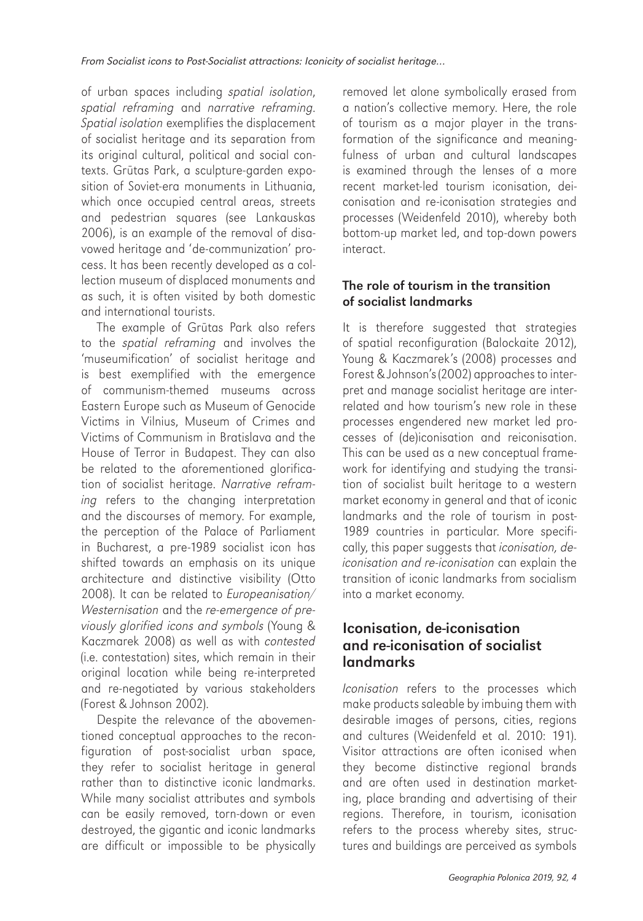of urban spaces including *spatial isolation*, *spatial reframing* and *narrative reframing*. *Spatial isolation* exemplifies the displacement of socialist heritage and its separation from its original cultural, political and social contexts. Grūtas Park, a sculpture-garden exposition of Soviet-era monuments in Lithuania. which once occupied central areas, streets and pedestrian squares (see Lankauskas 2006), is an example of the removal of disavowed heritage and 'de-communization' process. It has been recently developed as a collection museum of displaced monuments and as such, it is often visited by both domestic and international tourists.

The example of Grūtas Park also refers to the *spatial reframing* and involves the 'museumification' of socialist heritage and is best exemplified with the emergence of communism-themed museums across Eastern Europe such as Museum of Genocide Victims in Vilnius, Museum of Crimes and Victims of Communism in Bratislava and the House of Terror in Budapest. They can also be related to the aforementioned glorification of socialist heritage. *Narrative reframing* refers to the changing interpretation and the discourses of memory. For example, the perception of the Palace of Parliament in Bucharest, a pre-1989 socialist icon has shifted towards an emphasis on its unique architecture and distinctive visibility (Otto 2008). It can be related to *Europeanisation/ Westernisation* and the *re-emergence of previously glorified icons and symbols* (Young & Kaczmarek 2008) as well as with *contested* (i.e. contestation) sites, which remain in their original location while being re-interpreted and re-negotiated by various stakeholders (Forest & Johnson 2002).

Despite the relevance of the abovementioned conceptual approaches to the reconfiguration of post-socialist urban space, they refer to socialist heritage in general rather than to distinctive iconic landmarks. While many socialist attributes and symbols can be easily removed, torn-down or even destroyed, the gigantic and iconic landmarks are difficult or impossible to be physically removed let alone symbolically erased from a nation's collective memory. Here, the role of tourism as a major player in the transformation of the significance and meaningfulness of urban and cultural landscapes is examined through the lenses of a more recent market-led tourism iconisation, deiconisation and re-iconisation strategies and processes (Weidenfeld 2010), whereby both bottom-up market led, and top-down powers interact.

#### The role of tourism in the transition of socialist landmarks

It is therefore suggested that strategies of spatial reconfiguration (Balockaite 2012), Young & Kaczmarek's (2008) processes and Forest & Johnson's (2002) approaches to interpret and manage socialist heritage are interrelated and how tourism's new role in these processes engendered new market led processes of (de)iconisation and reiconisation. This can be used as a new conceptual framework for identifying and studying the transition of socialist built heritage to a western market economy in general and that of iconic landmarks and the role of tourism in post-1989 countries in particular. More specifically, this paper suggests that *iconisation, deiconisation and re-iconisation* can explain the transition of iconic landmarks from socialism into a market economy.

### Iconisation, de-iconisation and re-iconisation of socialist landmarks

*Iconisation* refers to the processes which make products saleable by imbuing them with desirable images of persons, cities, regions and cultures (Weidenfeld et al. 2010: 191). Visitor attractions are often iconised when they become distinctive regional brands and are often used in destination marketing, place branding and advertising of their regions. Therefore, in tourism, iconisation refers to the process whereby sites, structures and buildings are perceived as symbols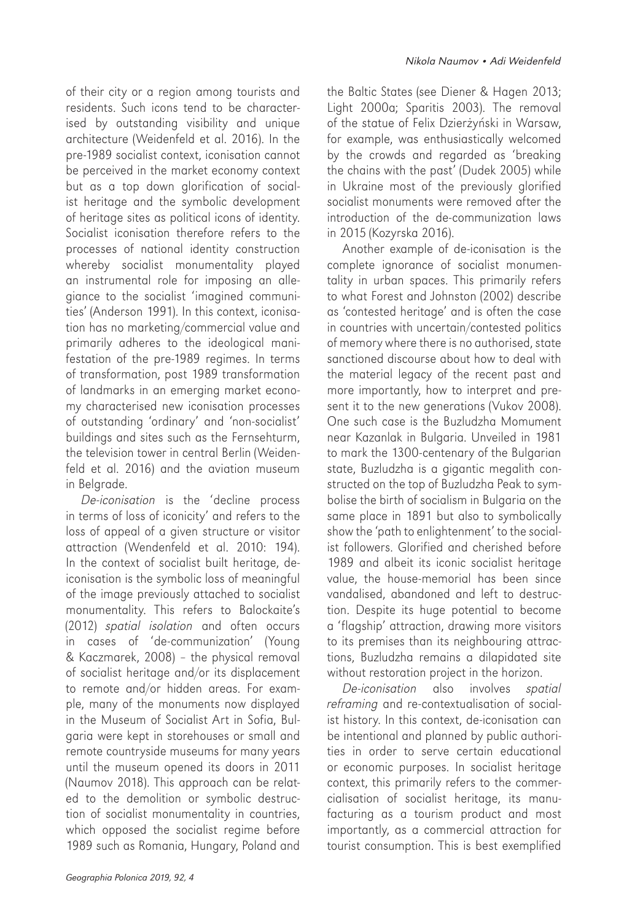of their city or a region among tourists and residents. Such icons tend to be characterised by outstanding visibility and unique architecture (Weidenfeld et al. 2016). In the pre-1989 socialist context, iconisation cannot be perceived in the market economy context but as a top down glorification of socialist heritage and the symbolic development of heritage sites as political icons of identity. Socialist iconisation therefore refers to the processes of national identity construction whereby socialist monumentality played an instrumental role for imposing an allegiance to the socialist 'imagined communities' (Anderson 1991). In this context, iconisation has no marketing/commercial value and primarily adheres to the ideological manifestation of the pre-1989 regimes. In terms of transformation, post 1989 transformation of landmarks in an emerging market economy characterised new iconisation processes of outstanding 'ordinary' and 'non-socialist' buildings and sites such as the Fernsehturm, the television tower in central Berlin (Weidenfeld et al. 2016) and the aviation museum in Belgrade.

*De-iconisation* is the 'decline process in terms of loss of iconicity' and refers to the loss of appeal of a given structure or visitor attraction (Wendenfeld et al. 2010: 194). In the context of socialist built heritage, deiconisation is the symbolic loss of meaningful of the image previously attached to socialist monumentality. This refers to Balockaite's (2012) *spatial isolation* and often occurs in cases of 'de-communization' (Young & Kaczmarek, 2008) – the physical removal of socialist heritage and/or its displacement to remote and/or hidden areas. For example, many of the monuments now displayed in the Museum of Socialist Art in Sofia, Bulgaria were kept in storehouses or small and remote countryside museums for many years until the museum opened its doors in 2011 (Naumov 2018). This approach can be related to the demolition or symbolic destruction of socialist monumentality in countries, which opposed the socialist regime before 1989 such as Romania, Hungary, Poland and

the Baltic States (see Diener & Hagen 2013; Light 2000a; Sparitis 2003). The removal of the statue of Felix Dzierżyński in Warsaw, for example, was enthusiastically welcomed by the crowds and regarded as 'breaking the chains with the past' (Dudek 2005) while in Ukraine most of the previously glorified socialist monuments were removed after the introduction of the de-communization laws in 2015 (Kozyrska 2016).

Another example of de-iconisation is the complete ignorance of socialist monumentality in urban spaces. This primarily refers to what Forest and Johnston (2002) describe as 'contested heritage' and is often the case in countries with uncertain/contested politics of memory where there is no authorised, state sanctioned discourse about how to deal with the material legacy of the recent past and more importantly, how to interpret and present it to the new generations (Vukov 2008). One such case is the Buzludzha Momument near Kazanlak in Bulgaria. Unveiled in 1981 to mark the 1300-centenary of the Bulgarian state, Buzludzha is a gigantic megalith constructed on the top of Buzludzha Peak to symbolise the birth of socialism in Bulgaria on the same place in 1891 but also to symbolically show the 'path to enlightenment' to the socialist followers. Glorified and cherished before 1989 and albeit its iconic socialist heritage value, the house-memorial has been since vandalised, abandoned and left to destruction. Despite its huge potential to become a 'flagship' attraction, drawing more visitors to its premises than its neighbouring attractions, Buzludzha remains a dilapidated site without restoration project in the horizon.

*De-iconisation* also involves *spatial reframing* and re-contextualisation of socialist history. In this context, de-iconisation can be intentional and planned by public authorities in order to serve certain educational or economic purposes. In socialist heritage context, this primarily refers to the commercialisation of socialist heritage, its manufacturing as a tourism product and most importantly, as a commercial attraction for tourist consumption. This is best exemplified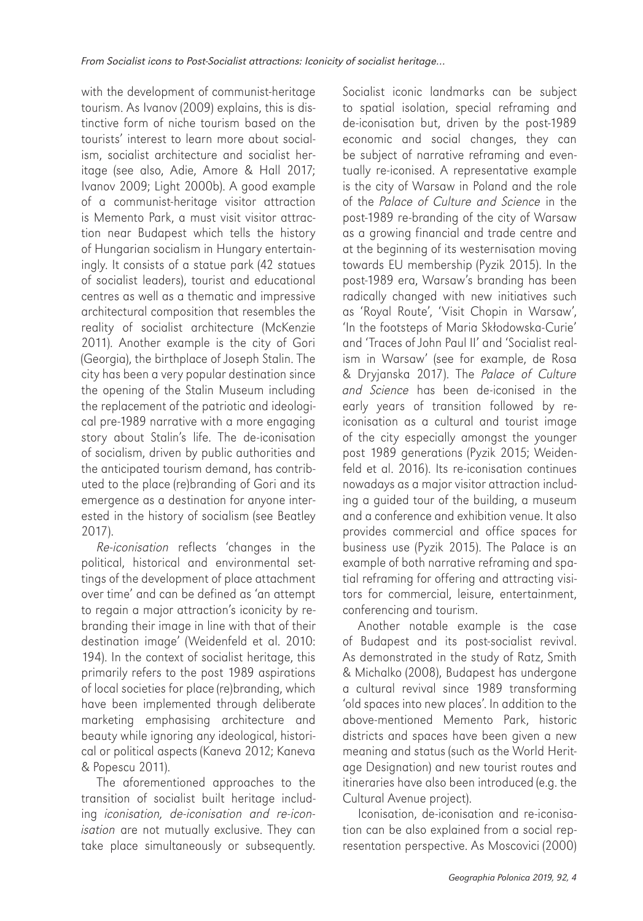with the development of communist-heritage tourism. As Ivanov (2009) explains, this is distinctive form of niche tourism based on the tourists' interest to learn more about socialism, socialist architecture and socialist heritage (see also, Adie, Amore & Hall 2017; Ivanov 2009; Light 2000b). A good example of a communist-heritage visitor attraction is Memento Park, a must visit visitor attraction near Budapest which tells the history of Hungarian socialism in Hungary entertainingly. It consists of a statue park (42 statues of socialist leaders), tourist and educational centres as well as a thematic and impressive architectural composition that resembles the reality of socialist architecture (McKenzie 2011). Another example is the city of Gori (Georgia), the birthplace of Joseph Stalin. The city has been a very popular destination since the opening of the Stalin Museum including the replacement of the patriotic and ideological pre-1989 narrative with a more engaging story about Stalin's life. The de-iconisation of socialism, driven by public authorities and the anticipated tourism demand, has contributed to the place (re)branding of Gori and its emergence as a destination for anyone interested in the history of socialism (see Beatley 2017).

*Re-iconisation* reflects 'changes in the political, historical and environmental settings of the development of place attachment over time' and can be defined as 'an attempt to regain a major attraction's iconicity by rebranding their image in line with that of their destination image' (Weidenfeld et al. 2010: 194). In the context of socialist heritage, this primarily refers to the post 1989 aspirations of local societies for place (re)branding, which have been implemented through deliberate marketing emphasising architecture and beauty while ignoring any ideological, historical or political aspects (Kaneva 2012; Kaneva & Popescu 2011).

The aforementioned approaches to the transition of socialist built heritage including *iconisation, de-iconisation and re-iconisation* are not mutually exclusive. They can take place simultaneously or subsequently.

Socialist iconic landmarks can be subject to spatial isolation, special reframing and de-iconisation but, driven by the post-1989 economic and social changes, they can be subject of narrative reframing and eventually re-iconised. A representative example is the city of Warsaw in Poland and the role of the *Palace of Culture and Science* in the post-1989 re-branding of the city of Warsaw as a growing financial and trade centre and at the beginning of its westernisation moving towards EU membership (Pyzik 2015). In the post-1989 era, Warsaw's branding has been radically changed with new initiatives such as 'Royal Route', 'Visit Chopin in Warsaw', 'In the footsteps of Maria Skłodowska-Curie' and 'Traces of John Paul II' and 'Socialist realism in Warsaw' (see for example, de Rosa & Dryjanska 2017). The *Palace of Culture and Science* has been de-iconised in the early years of transition followed by reiconisation as a cultural and tourist image of the city especially amongst the younger post 1989 generations (Pyzik 2015; Weidenfeld et al. 2016). Its re-iconisation continues nowadays as a major visitor attraction including a guided tour of the building, a museum and a conference and exhibition venue. It also provides commercial and office spaces for business use (Pyzik 2015). The Palace is an example of both narrative reframing and spatial reframing for offering and attracting visitors for commercial, leisure, entertainment, conferencing and tourism.

Another notable example is the case of Budapest and its post-socialist revival. As demonstrated in the study of Ratz, Smith & Michalko (2008), Budapest has undergone a cultural revival since 1989 transforming 'old spaces into new places'. In addition to the above-mentioned Memento Park, historic districts and spaces have been given a new meaning and status (such as the World Heritage Designation) and new tourist routes and itineraries have also been introduced (e.g. the Cultural Avenue project).

Iconisation, de-iconisation and re-iconisation can be also explained from a social representation perspective. As Moscovici (2000)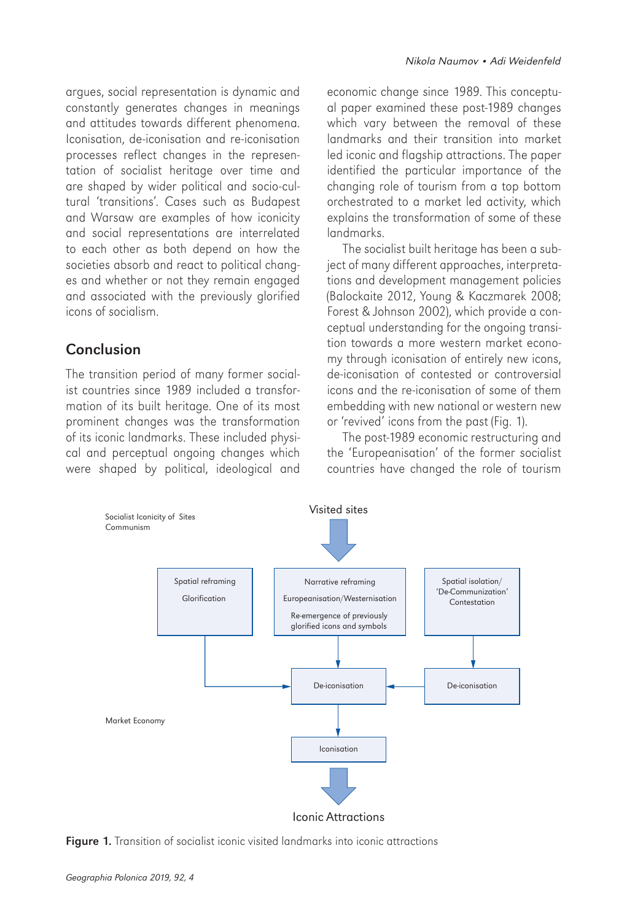argues, social representation is dynamic and constantly generates changes in meanings and attitudes towards different phenomena. Iconisation, de-iconisation and re-iconisation processes reflect changes in the representation of socialist heritage over time and are shaped by wider political and socio-cultural 'transitions'. Cases such as Budapest and Warsaw are examples of how iconicity and social representations are interrelated to each other as both depend on how the societies absorb and react to political changes and whether or not they remain engaged and associated with the previously glorified icons of socialism.

### **Conclusion**

The transition period of many former socialist countries since 1989 included a transformation of its built heritage. One of its most prominent changes was the transformation of its iconic landmarks. These included physical and perceptual ongoing changes which were shaped by political, ideological and

economic change since 1989. This conceptual paper examined these post-1989 changes which vary between the removal of these landmarks and their transition into market led iconic and flagship attractions. The paper identified the particular importance of the changing role of tourism from a top bottom orchestrated to a market led activity, which explains the transformation of some of these landmarks.

The socialist built heritage has been a subject of many different approaches, interpretations and development management policies (Balockaite 2012, Young & Kaczmarek 2008; Forest & Johnson 2002), which provide a conceptual understanding for the ongoing transition towards a more western market economy through iconisation of entirely new icons, de-iconisation of contested or controversial icons and the re-iconisation of some of them embedding with new national or western new or 'revived' icons from the past (Fig. 1).

The post-1989 economic restructuring and the 'Europeanisation' of the former socialist countries have changed the role of tourism



Figure 1. Transition of socialist iconic visited landmarks into iconic attractions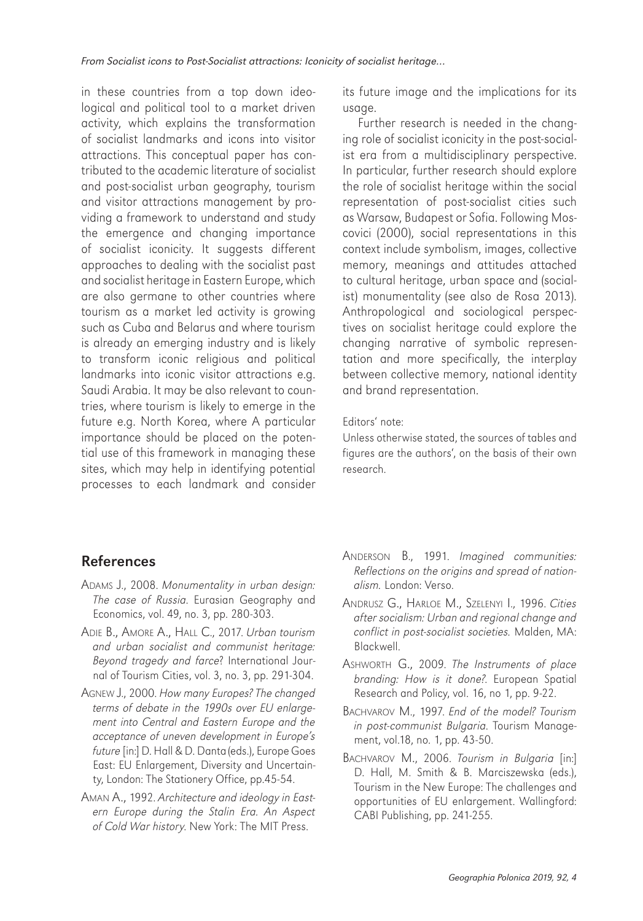in these countries from a top down ideological and political tool to a market driven activity, which explains the transformation of socialist landmarks and icons into visitor attractions. This conceptual paper has contributed to the academic literature of socialist and post-socialist urban geography, tourism and visitor attractions management by providing a framework to understand and study the emergence and changing importance of socialist iconicity. It suggests different approaches to dealing with the socialist past and socialist heritage in Eastern Europe, which are also germane to other countries where tourism as a market led activity is growing such as Cuba and Belarus and where tourism is already an emerging industry and is likely to transform iconic religious and political landmarks into iconic visitor attractions e.g. Saudi Arabia. It may be also relevant to countries, where tourism is likely to emerge in the future e.g. North Korea, where A particular importance should be placed on the potential use of this framework in managing these sites, which may help in identifying potential processes to each landmark and consider

its future image and the implications for its usage.

Further research is needed in the changing role of socialist iconicity in the post-socialist era from a multidisciplinary perspective. In particular, further research should explore the role of socialist heritage within the social representation of post-socialist cities such as Warsaw, Budapest or Sofia. Following Moscovici (2000), social representations in this context include symbolism, images, collective memory, meanings and attitudes attached to cultural heritage, urban space and (socialist) monumentality (see also de Rosa 2013). Anthropological and sociological perspectives on socialist heritage could explore the changing narrative of symbolic representation and more specifically, the interplay between collective memory, national identity and brand representation.

#### Editors' note:

Unless otherwise stated, the sources of tables and figures are the authors', on the basis of their own research.

# **References**

- ADAMS J., 2008. *Monumentality in urban design: The case of Russia*. Eurasian Geography and Economics, vol. 49, no. 3, pp. 280-303.
- ADIE B., AMORE A., HALL C., 2017. *Urban tourism and urban socialist and communist heritage: Beyond tragedy and farce*? International Journal of Tourism Cities, vol. 3, no. 3, pp. 291-304.
- AGNEW J., 2000. *How many Europes? The changed terms of debate in the 1990s over EU enlargement into Central and Eastern Europe and the acceptance of uneven development in Europe's future* [in:] D. Hall & D. Danta (eds.), Europe Goes East: EU Enlargement, Diversity and Uncertainty, London: The Stationery Office, pp.45-54.
- AMAN A., 1992. *Architecture and ideology in Eastern Europe during the Stalin Era. An Aspect of Cold War history*. New York: The MIT Press.
- ANDERSON B., 1991. *Imagined communities: Reflections on the origins and spread of nationalism.* London: Verso.
- ANDRUSZ G., HARLOE M., SZELENYI I., 1996. *Cities after socialism: Urban and regional change and conflict in post-socialist societies.* Malden, MA: Blackwell.
- ASHWORTH G., 2009. *The Instruments of place branding: How is it done?*. European Spatial Research and Policy, vol. 16, no 1, pp. 9-22.
- BACHVAROV M., 1997. *End of the model? Tourism in post-communist Bulgaria*. Tourism Management, vol.18, no. 1, pp. 43-50.
- BACHVAROV M., 2006. *Tourism in Bulgaria* [in:] D. Hall, M. Smith & B. Marciszewska (eds.), Tourism in the New Europe: The challenges and opportunities of EU enlargement. Wallingford: CABI Publishing, pp. 241-255.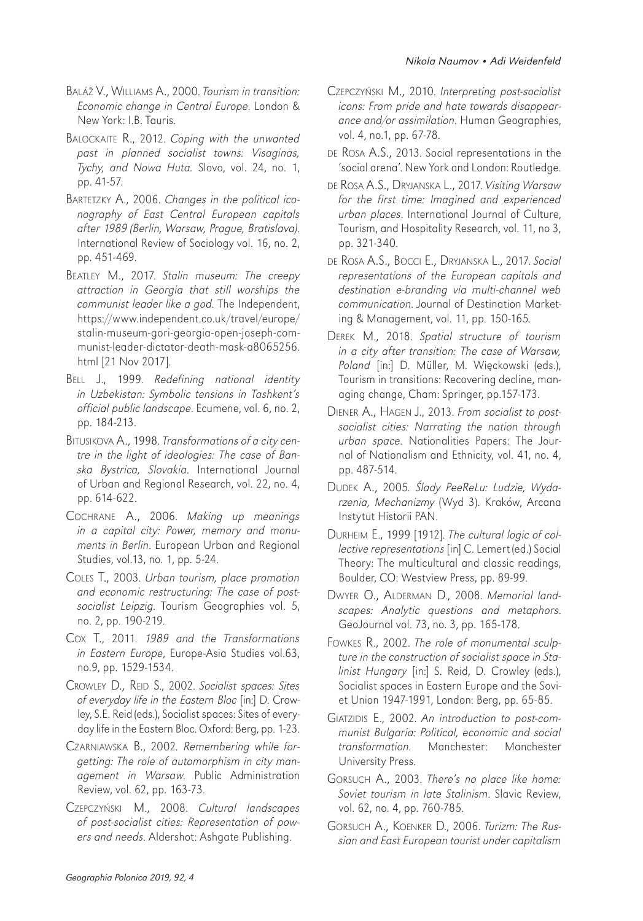- BALÁŽ V., WILLIAMS A., 2000. *Tourism in transition: Economic change in Central Europe*. London & New York: I.B. Tauris.
- BALOCKAITE R., 2012. *Coping with the unwanted past in planned socialist towns: Visaginas, Tychy, and Nowa Huta.* Slovo, vol. 24, no. 1, pp. 41-57.
- BARTETZKY A., 2006. *Changes in the political iconography of East Central European capitals after 1989 (Berlin, Warsaw, Prague, Bratislava)*. International Review of Sociology vol. 16, no. 2, pp. 451-469.
- BEATLEY M., 2017. *Stalin museum: The creepy attraction in Georgia that still worships the communist leader like a god*. The Independent, https://www.independent.co.uk/travel/europe/ stalin-museum-gori-georgia-open-joseph-communist-leader-dictator-death-mask-a8065256. html [21 Nov 2017].
- BELL J., 1999. *Redefining national identity in Uzbekistan: Symbolic tensions in Tashkent's official public landscape*. Ecumene, vol. 6, no. 2, pp. 184-213.
- BITUSIKOVA A., 1998. *Transformations of a city centre in the light of ideologies: The case of Banska Bystrica, Slovakia*. International Journal of Urban and Regional Research, vol. 22, no. 4, pp. 614-622.
- COCHRANE A., 2006. *Making up meanings in a capital city: Power, memory and monuments in Berlin*. European Urban and Regional Studies, vol.13, no. 1, pp. 5-24.
- COLES T., 2003. *Urban tourism, place promotion and economic restructuring: The case of postsocialist Leipzig*. Tourism Geographies vol. 5, no. 2, pp. 190-219.
- COX T., 2011. *1989 and the Transformations in Eastern Europe*, Europe-Asia Studies vol.63, no.9, pp. 1529-1534.
- CROWLEY D., REID S., 2002. *Socialist spaces: Sites of everyday life in the Eastern Bloc* [in:] D. Crowley, S.E. Reid (eds.), Socialist spaces: Sites of everyday life in the Eastern Bloc. Oxford: Berg, pp. 1-23.
- CZARNIAWSKA B., 2002*. Remembering while forgetting: The role of automorphism in city management in Warsaw*. Public Administration Review, vol. 62, pp. 163-73.
- CZEPCZYŃSKI M., 2008. *Cultural landscapes of post-socialist cities: Representation of powers and needs*. Aldershot: Ashgate Publishing.
- CZEPCZYŃSKI M., 2010. *Interpreting post-socialist icons: From pride and hate towards disappearance and/or assimilation*. Human Geographies, vol. 4, no.1, pp. 67-78.
- DE ROSA A.S., 2013. Social representations in the 'social arena'. New York and London: Routledge.
- DE ROSA A.S., DRYJANSKA L., 2017. *Visiting Warsaw for the first time: Imagined and experienced urban places*. International Journal of Culture, Tourism, and Hospitality Research, vol. 11, no 3, pp. 321-340.
- DE ROSA A.S., BOCCI E., DRYJANSKA L., 2017. *Social representations of the European capitals and destination e-branding via multi-channel web communication*. Journal of Destination Marketing & Management, vol. 11, pp. 150-165.
- DEREK M., 2018. *Spatial structure of tourism in a city after transition: The case of Warsaw, Poland* [in:] D. Müller, M. Więckowski (eds.), Tourism in transitions: Recovering decline, managing change, Cham: Springer, pp.157-173.
- DIENER A., HAGEN J., 2013. *From socialist to postsocialist cities: Narrating the nation through urban space*. Nationalities Papers: The Journal of Nationalism and Ethnicity, vol. 41, no. 4, pp. 487-514.
- DUDEK A., 2005*.* Ś*lady PeeReLu: Ludzie, Wydarzenia, Mechanizmy* (Wyd 3). Kraków, Arcana Instytut Historii PAN.
- DURHEIM E., 1999 [1912]. *The cultural logic of collective representations* [in] C. Lemert (ed.) Social Theory: The multicultural and classic readings, Boulder, CO: Westview Press, pp. 89-99.
- DWYER O., ALDERMAN D., 2008. *Memorial landscapes: Analytic questions and metaphors*. GeoJournal vol. 73, no. 3, pp. 165-178.
- FOWKES R., 2002. *The role of monumental sculpture in the construction of socialist space in Stalinist Hungary* [in:] S. Reid, D. Crowley (eds.), Socialist spaces in Eastern Europe and the Soviet Union 1947-1991, London: Berg, pp. 65-85.
- GIATZIDIS E., 2002. *An introduction to post-communist Bulgaria: Political, economic and social transformation*. Manchester: Manchester University Press.
- GORSUCH A., 2003. *There's no place like home: Soviet tourism in late Stalinism*. Slavic Review, vol. 62, no. 4, pp. 760-785.
- GORSUCH A., KOENKER D., 2006. *Turizm: The Russian and East European tourist under capitalism*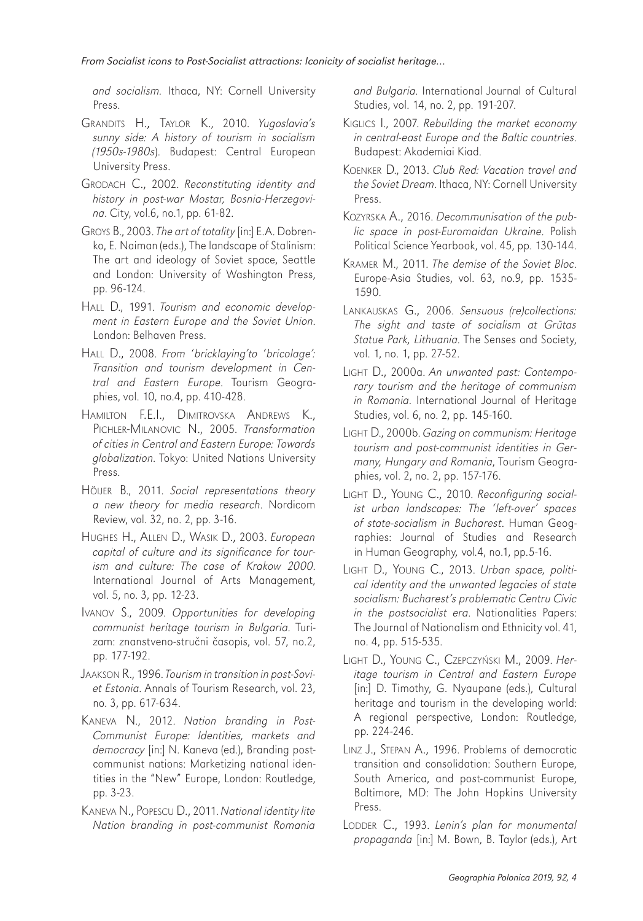*and socialism.* Ithaca, NY: Cornell University Press.

- GRANDITS H., TAYLOR K., 2010. *Yugoslavia's sunny side: A history of tourism in socialism (1950s-1980s*). Budapest: Central European University Press.
- GRODACH C., 2002. *Reconstituting identity and history in post-war Mostar, Bosnia-Herzegovina*. City, vol.6, no.1, pp. 61-82.
- GROYS B., 2003. *The art of totality* [in:] E.A. Dobrenko, E. Naiman (eds.), The landscape of Stalinism: The art and ideology of Soviet space, Seattle and London: University of Washington Press, pp. 96-124.
- HALL D., 1991. *Tourism and economic development in Eastern Europe and the Soviet Union*. London: Belhaven Press.
- HALL D., 2008. *From 'bricklaying'to 'bricolage': Transition and tourism development in Central and Eastern Europe*. Tourism Geographies, vol. 10, no.4, pp. 410-428.
- HAMILTON F.E.I., DIMITROVSKA ANDREWS K., PICHLER-MILANOVIC N., 2005. *Transformation of cities in Central and Eastern Europe: Towards glob alization*. Tokyo: United Nations University Press.
- HÖIJER B., 2011. *Social representations theory a new theory for media research*. Nordicom Review, vol. 32, no. 2, pp. 3-16.
- HUGHES H., ALLEN D., WASIK D., 2003. *European capital of culture and its significance for tourism and culture: The case of Krakow 2000*. International Journal of Arts Management, vol. 5, no. 3, pp. 12-23.
- IVANOV S., 2009. *Opportunities for developing communist heritage tourism in Bulgaria*. Turizam: znanstveno-stručni časopis, vol. 57, no.2, pp. 177-192.
- JAAKSON R., 1996. *Tourism in transition in post-Soviet Estonia*. Annals of Tourism Research, vol. 23, no. 3, pp. 617-634.
- KANEVA N., 2012. *Nation branding in Post-Communist Europe: Identities, markets and democracy* [in:] N. Kaneva (ed.), Branding postcommunist nations: Marketizing national identities in the "New" Europe, London: Routledge, pp. 3-23.
- KANEVA N., POPESCU D., 2011. *National identity lite Nation branding in post-communist Romania*

*and Bulgaria*. International Journal of Cultural Studies, vol. 14, no. 2, pp. 191-207.

- KIGLICS I., 2007. *Rebuilding the market economy in central-east Europe and the Baltic countries*. Budapest: Akademiai Kiad.
- KOENKER D., 2013. *Club Red: Vacation travel and the Soviet Dream*. Ithaca, NY: Cornell University Press.
- KOZYRSKA A., 2016. *Decommunisation of the public space in post-Euromaidan Ukraine*. Polish Political Science Yearbook, vol. 45, pp. 130-144.
- KRAMER M., 2011. *The demise of the Soviet Bloc*. Europe-Asia Studies, vol. 63, no.9, pp. 1535- 1590.
- LANKAUSKAS G., 2006. *Sensuous (re)collections: The sight and taste of socialism at Gr*ū*tas Statue Park, Lithuania*. The Senses and Society, vol. 1, no. 1, pp. 27-52.
- LIGHT D., 2000a. *An unwanted past: Contemporary tourism and the heritage of communism in Romania*. International Journal of Heritage Studies, vol. 6, no. 2, pp. 145-160.
- LIGHT D., 2000b. *Gazing on communism: Heritage tourism and post-communist identities in Germany, Hungary and Romania*, Tourism Geographies, vol. 2, no. 2, pp. 157-176.
- LIGHT D., YOUNG C., 2010. *Reconfiguring socialist urban landscapes: The 'left-over' spaces of state-socialism in Bucharest*. Human Geographies: Journal of Studies and Research in Human Geography*,* vol*.*4, no.1, pp.5-16.
- LIGHT D., YOUNG C., 2013. *Urban space, political identity and the unwanted legacies of state socialism: Bucharest's problematic Centru Civic in the postsocialist era*. Nationalities Papers: The Journal of Nationalism and Ethnicity vol. 41, no. 4, pp. 515-535.
- LIGHT D., YOUNG C., CZEPCZYŃSKI M., 2009. *Heritage tourism in Central and Eastern Europe* [in:] D. Timothy, G. Nyaupane (eds.), Cultural heritage and tourism in the developing world: A regional perspective, London: Routledge, pp. 224-246.
- LINZ J., STEPAN A., 1996. Problems of democratic transition and consolidation: Southern Europe, South America, and post-communist Europe, Baltimore, MD: The John Hopkins University Press.
- LODDER C., 1993. *Lenin's plan for monumental propaganda* [in:] M. Bown, B. Taylor (eds.), Art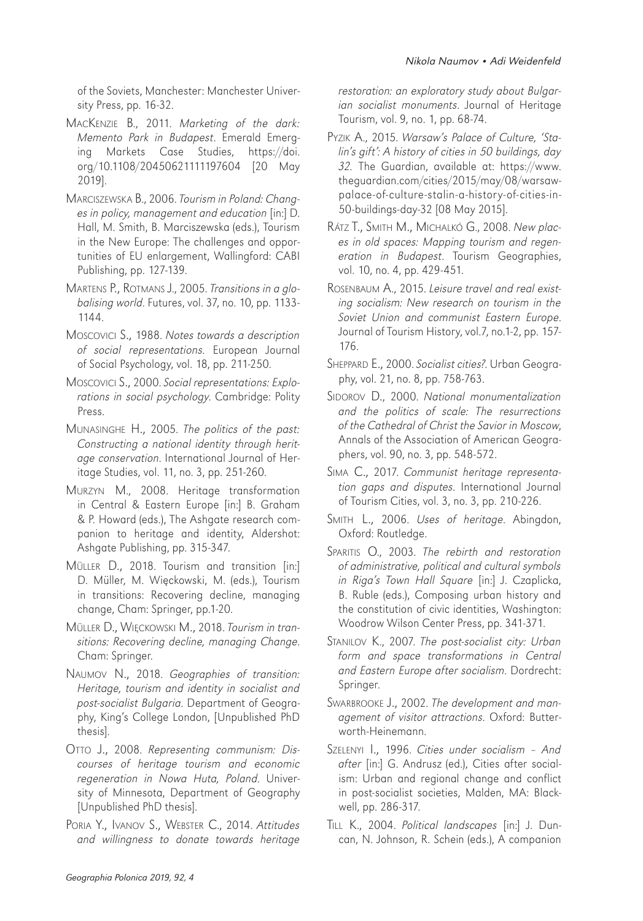of the Soviets, Manchester: Manchester University Press, pp. 16-32.

- MACKENZIE B., 2011. *Marketing of the dark: Memento Park in Budapest*. Emerald Emerging Markets Case Studies, https://doi. org/10.1108/20450621111197604 [20 May 2019].
- MARCISZEWSKA B., 2006. *Tourism in Poland: Changes in policy, management and education* [in:] D. Hall, M. Smith, B. Marciszewska (eds.), Tourism in the New Europe: The challenges and opportunities of EU enlargement, Wallingford: CABI Publishing, pp. 127-139.
- MARTENS P., ROTMANS J., 2005. *Transitions in a globalising world*. Futures, vol. 37, no. 10, pp. 1133- 1144.
- MOSCOVICI S., 1988. *Notes towards a description of social representations*. European Journal of Social Psychology, vol. 18, pp. 211-250.
- MOSCOVICI S., 2000. *Social representations: Explorations in social psychology*. Cambridge: Polity Press.
- MUNASINGHE H., 2005. *The politics of the past: Constructing a national identity through heritage conservation*. International Journal of Heritage Studies, vol. 11, no. 3, pp. 251-260.
- MURZYN M., 2008. Heritage transformation in Central & Eastern Europe [in:] B. Graham & P. Howard (eds.), The Ashgate research companion to heritage and identity, Aldershot: Ashgate Publishing, pp. 315-347.
- MÜLLER D., 2018. Tourism and transition [in:] D. Müller, M. Więckowski, M. (eds.), Tourism in transitions: Recovering decline, managing change, Cham: Springer, pp.1-20.
- MÜLLER D., WIĘCKOWSKI M., 2018. *Tourism in transitions: Recovering decline, managing Change*. Cham: Springer.
- NAUMOV N., 2018. Geographies of transition: *Heritage, tourism and identity in socialist and post-socialist Bulgaria*. Department of Geography, King's College London, [Unpublished PhD thesis].
- OTTO J., 2008. *Representing communism: Discourses of heritage tourism and economic regeneration in Nowa Huta, Poland*. University of Minnesota, Department of Geography [Unpublished PhD thesis].
- PORIA Y., IVANOV S., WEBSTER C., 2014. *Attitudes and willingness to donate towards heritage*

*restoration: an exploratory study about Bulgarian socialist monuments*. Journal of Heritage Tourism, vol. 9, no. 1, pp. 68-74.

- PYZIK A., 2015. *Warsaw's Palace of Culture, 'Stalin's gift': A history of cities in 50 buildings, day 32.* The Guardian, available at: https://www. theguardian.com/cities/2015/may/08/warsawpalace-of-culture-stalin-a-history-of-cities-in-50-buildings-day-32 [08 May 2015].
- RÁTZ T., SMITH M., MICHALKÓ G., 2008. *New places in old spaces: Mapping tourism and regeneration in Budapest*. Tourism Geographies, vol. 10, no. 4, pp. 429-451.
- ROSENBAUM A., 2015. *Leisure travel and real existing socialism: New research on tourism in the Soviet Union and communist Eastern Europe*. Journal of Tourism History, vol.7, no.1-2, pp. 157- 176.
- SHEPPARD E., 2000. *Socialist cities?*. Urban Geography, vol. 21, no. 8, pp. 758-763.
- SIDOROV D., 2000. *National monumentalization and the politics of scale: The resurrections of the Cathedral of Christ the Savior in Moscow*, Annals of the Association of American Geographers, vol. 90, no. 3, pp. 548-572.
- SIMA C., 2017. *Communist heritage representation gaps and disputes*. International Journal of Tourism Cities, vol. 3, no. 3, pp. 210-226.
- SMITH L., 2006. *Uses of heritage*. Abingdon, Oxford: Routledge.
- SPARITIS O., 2003. *The rebirth and restoration of administrative, political and cultural symbols in Riga's Town Hall Square* [in:] J. Czaplicka, B. Ruble (eds.), Composing urban history and the constitution of civic identities, Washington: Woodrow Wilson Center Press, pp. 341-371.
- STANILOV K., 2007. *The post-socialist city: Urban form and space transformations in Central and Eastern Europe after socialism*. Dordrecht: Springer.
- SWARBROOKE J., 2002. *The development and management of visitor attractions*. Oxford: Butterworth-Heinemann.
- SZELENYI I., 1996. *Cities under socialism And after* [in:] G. Andrusz (ed.), Cities after socialism: Urban and regional change and conflict in post-socialist societies, Malden, MA: Blackwell, pp. 286-317.
- TILL K., 2004. *Political landscapes* [in:] J. Duncan, N. Johnson, R. Schein (eds.), A companion